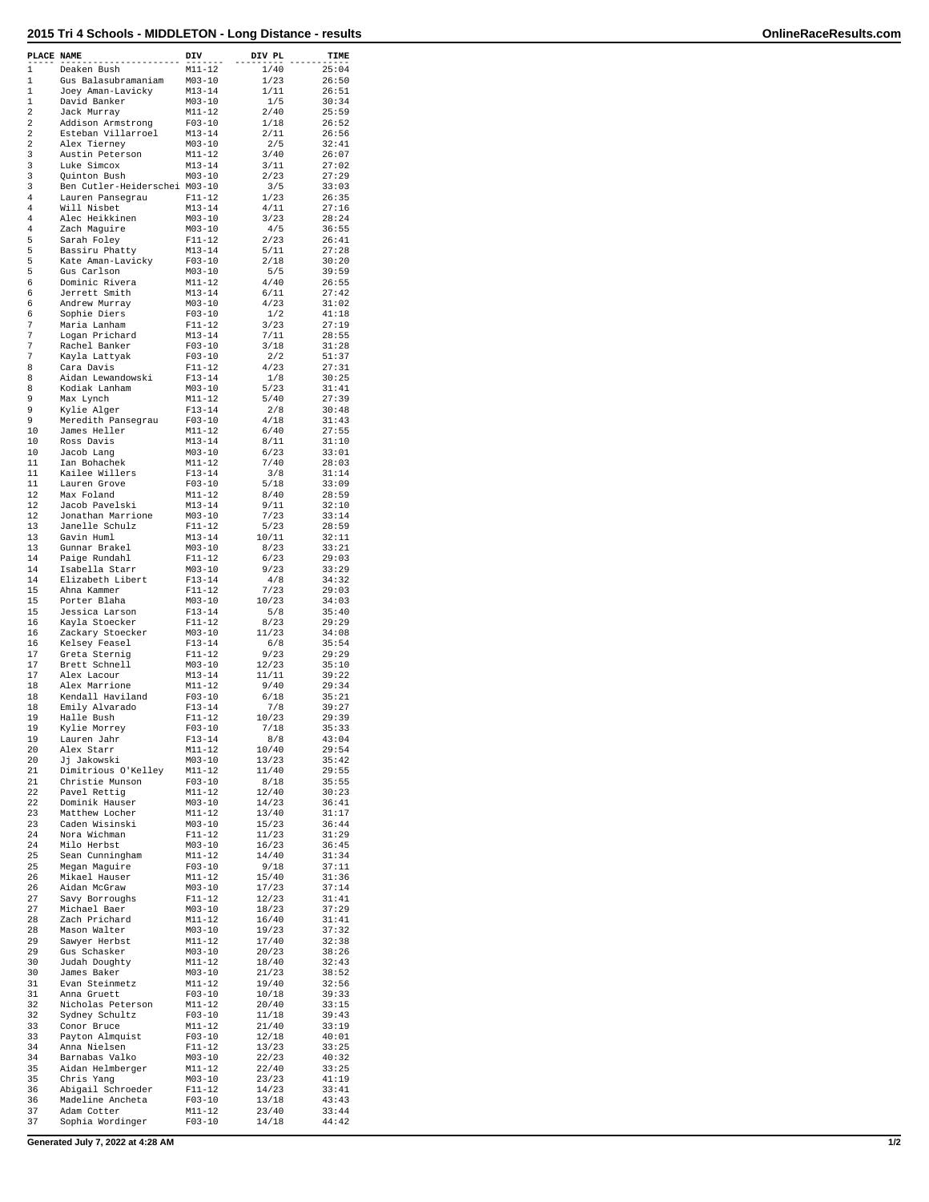| PLACE NAME       |                                          | DIV                      | DIV PL         | TIME           |
|------------------|------------------------------------------|--------------------------|----------------|----------------|
| $\mathbf{1}$     | Deaken Bush                              | $M11 - 12$               | 1/40           | 25:04          |
| 1<br>$\mathbf 1$ | Gus Balasubramaniam<br>Joey Aman-Lavicky | $M03 - 10$<br>$M13 - 14$ | 1/23<br>1/11   | 26:50<br>26:51 |
| 1                | David Banker                             | $M03 - 10$               | 1/5            | 30:34          |
| 2                | Jack Murray                              | $M11 - 12$               | 2/40           | 25:59          |
| 2<br>2           | Addison Armstrong<br>Esteban Villarroel  | $F03-10$<br>$M13 - 14$   | 1/18<br>2/11   | 26:52<br>26:56 |
| 2                | Alex Tierney                             | $M03 - 10$               | 2/5            | 32:41          |
| 3                | Austin Peterson                          | $M11 - 12$               | 3/40           | 26:07          |
| 3<br>3           | Luke Simcox<br>Ouinton Bush              | $M13 - 14$<br>$M03 - 10$ | 3/11<br>2/23   | 27:02<br>27:29 |
| 3                | Ben Cutler-Heiderschei M03-10            |                          | 3/5            | 33:03          |
| 4                | Lauren Pansegrau                         | $F11-12$                 | 1/23           | 26:35          |
| 4<br>4           | Will Nisbet                              | $M13 - 14$               | 4/11           | 27:16          |
| 4                | Alec Heikkinen<br>Zach Maguire           | $M03 - 10$<br>$M03 - 10$ | 3/23<br>4/5    | 28:24<br>36:55 |
| 5                | Sarah Foley                              | $F11-12$                 | 2/23           | 26:41          |
| 5                | Bassiru Phatty                           | $M13 - 14$               | 5/11           | 27:28          |
| 5<br>5           | Kate Aman-Lavicky<br>Gus Carlson         | $F03-10$<br>$M03 - 10$   | 2/18<br>5/5    | 30:20<br>39:59 |
| 6                | Dominic Rivera                           | M11-12                   | 4/40           | 26:55          |
| 6                | Jerrett Smith                            | $M13 - 14$               | 6/11           | 27:42          |
| 6<br>6           | Andrew Murray                            | $M03 - 10$               | 4/23           | 31:02          |
| 7                | Sophie Diers<br>Maria Lanham             | $F03-10$<br>$F11 - 12$   | 1/2<br>3/23    | 41:18<br>27:19 |
| 7                | Logan Prichard                           | $M13 - 14$               | 7/11           | 28:55          |
| 7                | Rachel Banker                            | $F03-10$                 | 3/18           | 31:28          |
| 7<br>8           | Kayla Lattyak<br>Cara Davis              | $F03 - 10$<br>$F11 - 12$ | 2/2<br>4/23    | 51:37<br>27:31 |
| 8                | Aidan Lewandowski                        | $F13 - 14$               | 1/8            | 30:25          |
| 8                | Kodiak Lanham                            | $M03 - 10$               | 5/23           | 31:41          |
| 9                | Max Lynch                                | $M11 - 12$               | 5/40           | 27:39          |
| 9<br>9           | Kylie Alger<br>Meredith Pansegrau        | $F13 - 14$<br>$F03 - 10$ | 2/8<br>4/18    | 30:48<br>31:43 |
| 10               | James Heller                             | $M11 - 12$               | 6/40           | 27:55          |
| 10               | Ross Davis                               | $M13 - 14$               | 8/11           | 31:10          |
| 10               | Jacob Lang                               | $M03 - 10$               | 6/23           | 33:01          |
| 11<br>11         | Ian Bohachek<br>Kailee Willers           | $M11 - 12$<br>$F13 - 14$ | 7/40<br>3/8    | 28:03<br>31:14 |
| 11               | Lauren Grove                             | $F03 - 10$               | 5/18           | 33:09          |
| 12               | Max Foland                               | $M11 - 12$               | 8/40           | 28:59          |
| 12<br>12         | Jacob Pavelski                           | $M13 - 14$               | 9/11           | 32:10          |
| 13               | Jonathan Marrione<br>Janelle Schulz      | $M03 - 10$<br>$F11 - 12$ | 7/23<br>5/23   | 33:14<br>28:59 |
| 13               | Gavin Huml                               | $M13 - 14$               | 10/11          | 32:11          |
| 13               | Gunnar Brakel                            | $M03 - 10$               | 8/23           | 33:21          |
| 14<br>14         | Paige Rundahl                            | $F11 - 12$               | 6/23           | 29:03          |
| 14               | Isabella Starr<br>Elizabeth Libert       | $M03 - 10$<br>$F13 - 14$ | 9/23<br>4/8    | 33:29<br>34:32 |
| 15               | Ahna Kammer                              | $F11 - 12$               | 7/23           | 29:03          |
| 15               | Porter Blaha                             | $M03 - 10$               | 10/23          | 34:03          |
| 15<br>16         | Jessica Larson<br>Kayla Stoecker         | $F13 - 14$<br>$F11-12$   | 5/8<br>8/23    | 35:40<br>29:29 |
| 16               | Zackary Stoecker                         | $M03 - 10$               | 11/23          | 34:08          |
| 16               | Kelsey Feasel                            | $F13 - 14$               | 6/8            | 35:54          |
| 17               | Greta Sternig                            | $F11 - 12$               | 9/23           | 29:29          |
| 17<br>17         | Brett Schnell<br>Alex Lacour             | $M03 - 10$<br>$M13 - 14$ | 12/23<br>11/11 | 35:10<br>39:22 |
| 18               | Alex Marrione                            | $M11 - 12$               | 9/40           | 29:34          |
| 18               | Kendall Haviland                         | $F03-10$                 | 6/18           | 35:21          |
| 18               | Emily Alvarado                           | $F13 - 14$               | 7/8            | 39:27          |
| 19<br>19         | Halle Bush<br>Kylie Morrey               | $F11 - 12$<br>$F03-10$   | 10/23<br>7/18  | 29:39<br>35:33 |
| 19               | Lauren Jahr                              | $F13 - 14$               | 8/8            | 43:04          |
| 20               | Alex Starr                               | $M11 - 12$               | 10/40          | 29:54          |
| 20               | Jj Jakowski                              | $M03-10$                 | 13/23          | 35:42          |
| 21<br>21         | Dimitrious O'Kelley<br>Christie Munson   | $M11-12$<br>$F03 - 10$   | 11/40<br>8/18  | 29:55<br>35:55 |
| 22               | Pavel Rettig                             | M11-12                   | 12/40          | 30:23          |
| 22               | Dominik Hauser                           | $M03 - 10$               | 14/23          | 36:41          |
| 23<br>23         | Matthew Locher<br>Caden Wisinski         | $M11 - 12$<br>MO3-10     | 13/40<br>15/23 | 31:17<br>36:44 |
| 24               | Nora Wichman                             | $F11-12$                 | 11/23          | 31:29          |
| 24               | Milo Herbst                              | $M03 - 10$               | 16/23          | 36:45          |
| 25               | Sean Cunningham                          | M11-12                   | 14/40          | 31:34          |
| 25<br>26         | Megan Maguire<br>Mikael Hauser           | $F03-10$<br>$M11 - 12$   | 9/18<br>15/40  | 37:11<br>31:36 |
| 26               | Aidan McGraw                             | $M03-10$                 | 17/23          | 37:14          |
| 27               | Savy Borroughs                           | F11-12                   | 12/23          | 31:41          |
| 27               | Michael Baer                             | $M03 - 10$               | 18/23          | 37:29          |
| 28<br>28         | Zach Prichard<br>Mason Walter            | M11-12<br>$M03-10$       | 16/40<br>19/23 | 31:41<br>37:32 |
| 29               | Sawyer Herbst                            | $M11 - 12$               | 17/40          | 32:38          |
| 29               | Gus Schasker                             | MO3-10                   | 20/23          | 38:26          |
| 30<br>30         | Judah Doughty                            | M11-12                   | 18/40<br>21/23 | 32:43          |
| 31               | James Baker<br>Evan Steinmetz            | $M03 - 10$<br>M11-12     | 19/40          | 38:52<br>32:56 |
| 31               | Anna Gruett                              | $F03-10$                 | 10/18          | 39:33          |
| 32               | Nicholas Peterson                        | $M11 - 12$               | 20/40          | 33:15          |
| 32<br>33         | Sydney Schultz                           | $F03-10$                 | 11/18          | 39:43          |
| 33               | Conor Bruce<br>Payton Almquist           | $M11-12$<br>$F03 - 10$   | 21/40<br>12/18 | 33:19<br>40:01 |
| 34               | Anna Nielsen                             | F11-12                   | 13/23          | 33:25          |
| 34               | Barnabas Valko                           | $M03 - 10$               | 22/23          | 40:32          |
| 35<br>35         | Aidan Helmberger<br>Chris Yang           | $M11 - 12$<br>$M03-10$   | 22/40<br>23/23 | 33:25<br>41:19 |
| 36               | Abigail Schroeder                        | $F11 - 12$               | 14/23          | 33:41          |
| 36               | Madeline Ancheta                         | $F03 - 10$               | 13/18          | 43:43          |
| 37               | Adam Cotter                              | M11-12                   | 23/40          | 33:44          |
| 37               | Sophia Wordinger                         | $F03 - 10$               | 14/18          | 44:42          |

**Generated July 7, 2022 at 4:28 AM 1/2**